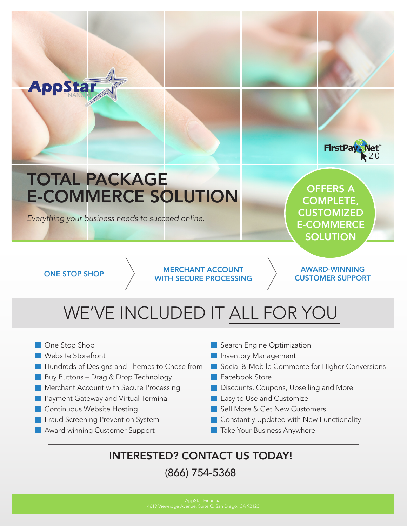

## WE'VE INCLUDED IT ALL FOR YOU

- One Stop Shop
- Website Storefront
- **Hundreds of Designs and Themes to Chose from**
- Buy Buttons Drag & Drop Technology
- **Merchant Account with Secure Processing**
- **Payment Gateway and Virtual Terminal**
- **Continuous Website Hosting**
- **Fraud Screening Prevention System**
- **Award-winning Customer Support**
- Search Engine Optimization
- **Inventory Management**
- Social & Mobile Commerce for Higher Conversions
- **Facebook Store**
- **Discounts, Coupons, Upselling and More**
- Easy to Use and Customize
- Sell More & Get New Customers
- Constantly Updated with New Functionality
- **Take Your Business Anywhere**

### INTERESTED? CONTACT US TODAY!

### (866) 754-5368